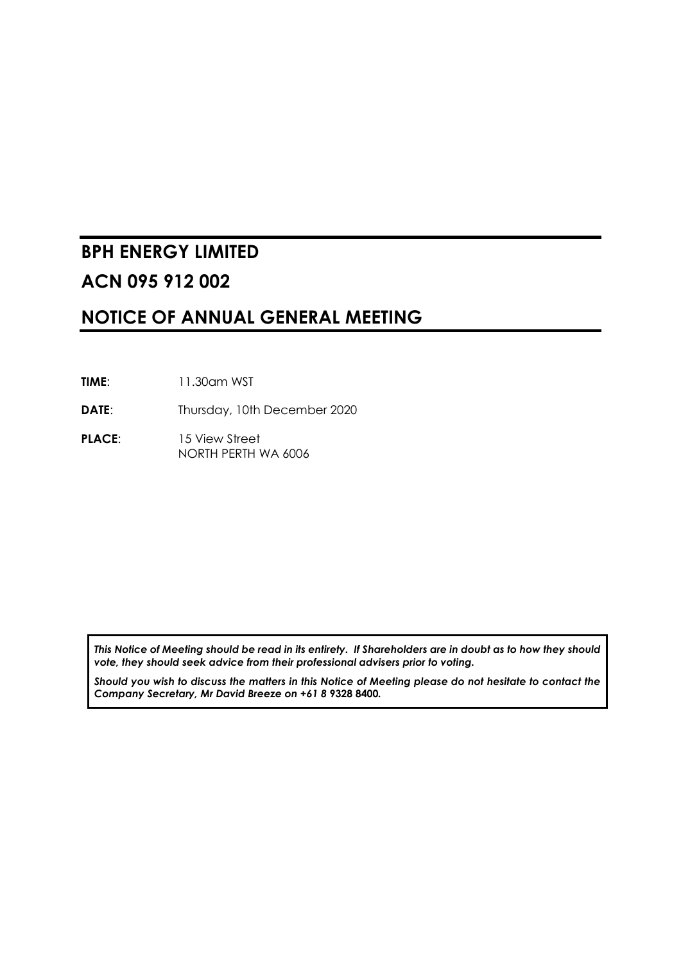# **BPH ENERGY LIMITED ACN 095 912 002**

## **NOTICE OF ANNUAL GENERAL MEETING**

- **TIME**: 11.30am WST
- **DATE:** Thursday, 10th December 2020
- PLACE: 15 View Street NORTH PERTH WA 6006

*This Notice of Meeting should be read in its entirety. If Shareholders are in doubt as to how they should vote, they should seek advice from their professional advisers prior to voting.*

*Should you wish to discuss the matters in this Notice of Meeting please do not hesitate to contact the Company Secretary, Mr David Breeze on +61 8* **9328 8400***.*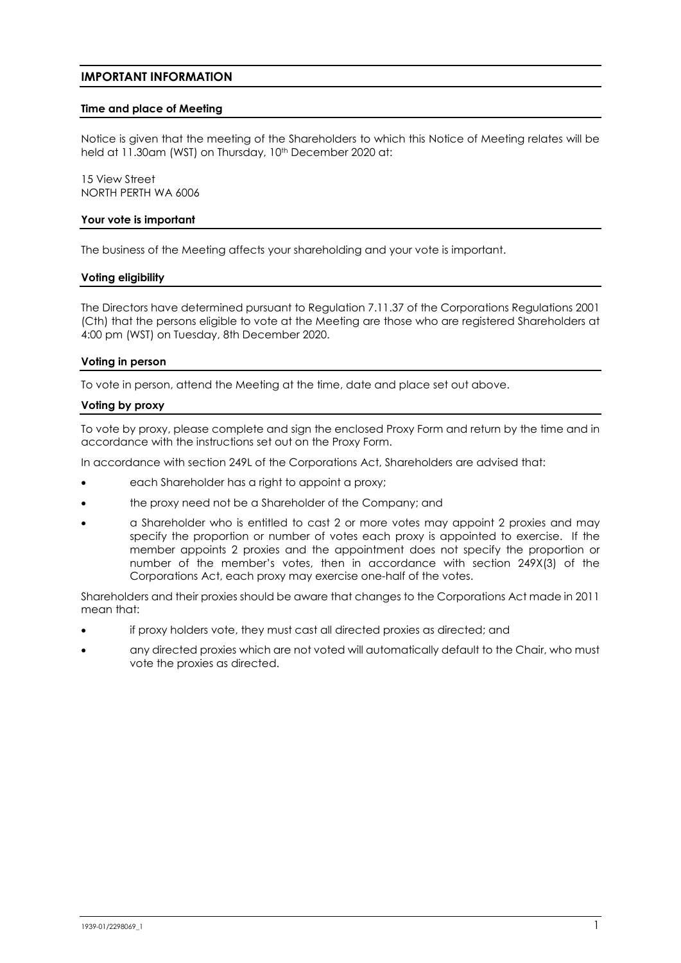#### **IMPORTANT INFORMATION**

#### **Time and place of Meeting**

Notice is given that the meeting of the Shareholders to which this Notice of Meeting relates will be held at 11.30am (WST) on Thursday, 10<sup>th</sup> December 2020 at:

15 View Street NORTH PERTH WA 6006

#### **Your vote is important**

The business of the Meeting affects your shareholding and your vote is important.

#### **Voting eligibility**

The Directors have determined pursuant to Regulation 7.11.37 of the Corporations Regulations 2001 (Cth) that the persons eligible to vote at the Meeting are those who are registered Shareholders at 4:00 pm (WST) on Tuesday, 8th December 2020.

#### **Voting in person**

To vote in person, attend the Meeting at the time, date and place set out above.

#### **Voting by proxy**

To vote by proxy, please complete and sign the enclosed Proxy Form and return by the time and in accordance with the instructions set out on the Proxy Form.

In accordance with section 249L of the Corporations Act, Shareholders are advised that:

- each Shareholder has a right to appoint a proxy;
- the proxy need not be a Shareholder of the Company; and
- a Shareholder who is entitled to cast 2 or more votes may appoint 2 proxies and may specify the proportion or number of votes each proxy is appointed to exercise. If the member appoints 2 proxies and the appointment does not specify the proportion or number of the member's votes, then in accordance with section 249X(3) of the Corporations Act, each proxy may exercise one-half of the votes.

Shareholders and their proxies should be aware that changes to the Corporations Act made in 2011 mean that:

- if proxy holders vote, they must cast all directed proxies as directed; and
- any directed proxies which are not voted will automatically default to the Chair, who must vote the proxies as directed.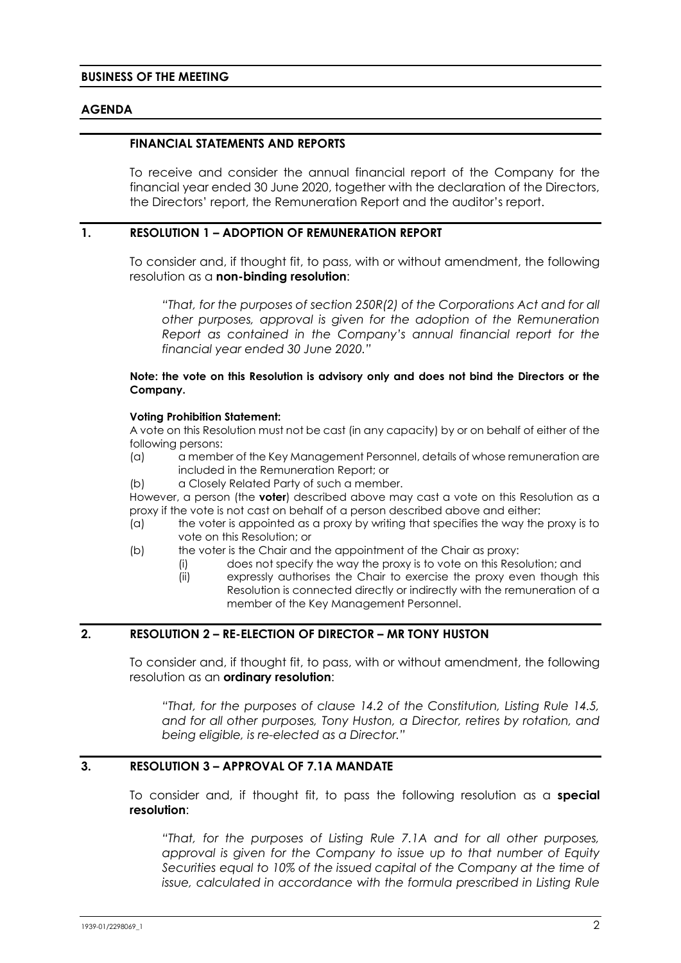## **AGENDA**

#### **FINANCIAL STATEMENTS AND REPORTS**

To receive and consider the annual financial report of the Company for the financial year ended 30 June 2020, together with the declaration of the Directors, the Directors' report, the Remuneration Report and the auditor's report.

#### **1. RESOLUTION 1 – ADOPTION OF REMUNERATION REPORT**

To consider and, if thought fit, to pass, with or without amendment, the following resolution as a **non-binding resolution**:

*"That, for the purposes of section 250R(2) of the Corporations Act and for all other purposes, approval is given for the adoption of the Remuneration Report as contained in the Company's annual financial report for the financial year ended 30 June 2020."*

#### **Note: the vote on this Resolution is advisory only and does not bind the Directors or the Company.**

#### **Voting Prohibition Statement:**

A vote on this Resolution must not be cast (in any capacity) by or on behalf of either of the following persons:

- (a) a member of the Key Management Personnel, details of whose remuneration are included in the Remuneration Report; or
- (b) a Closely Related Party of such a member.

However, a person (the **voter**) described above may cast a vote on this Resolution as a proxy if the vote is not cast on behalf of a person described above and either:

- (a) the voter is appointed as a proxy by writing that specifies the way the proxy is to vote on this Resolution; or
- (b) the voter is the Chair and the appointment of the Chair as proxy:
	- (i) does not specify the way the proxy is to vote on this Resolution; and
	- (ii) expressly authorises the Chair to exercise the proxy even though this Resolution is connected directly or indirectly with the remuneration of a member of the Key Management Personnel.

## <span id="page-2-0"></span>**2. RESOLUTION 2 – RE-ELECTION OF DIRECTOR – MR TONY HUSTON**

To consider and, if thought fit, to pass, with or without amendment, the following resolution as an **ordinary resolution**:

*"That, for the purposes of clause 14.2 of the Constitution, Listing Rule 14.5, and for all other purposes, Tony Huston, a Director, retires by rotation, and being eligible, is re-elected as a Director."*

## **3. RESOLUTION 3 – APPROVAL OF 7.1A MANDATE**

To consider and, if thought fit, to pass the following resolution as a **special resolution**:

*"That, for the purposes of Listing Rule 7.1A and for all other purposes, approval is given for the Company to issue up to that number of Equity Securities equal to 10% of the issued capital of the Company at the time of issue, calculated in accordance with the formula prescribed in Listing Rule*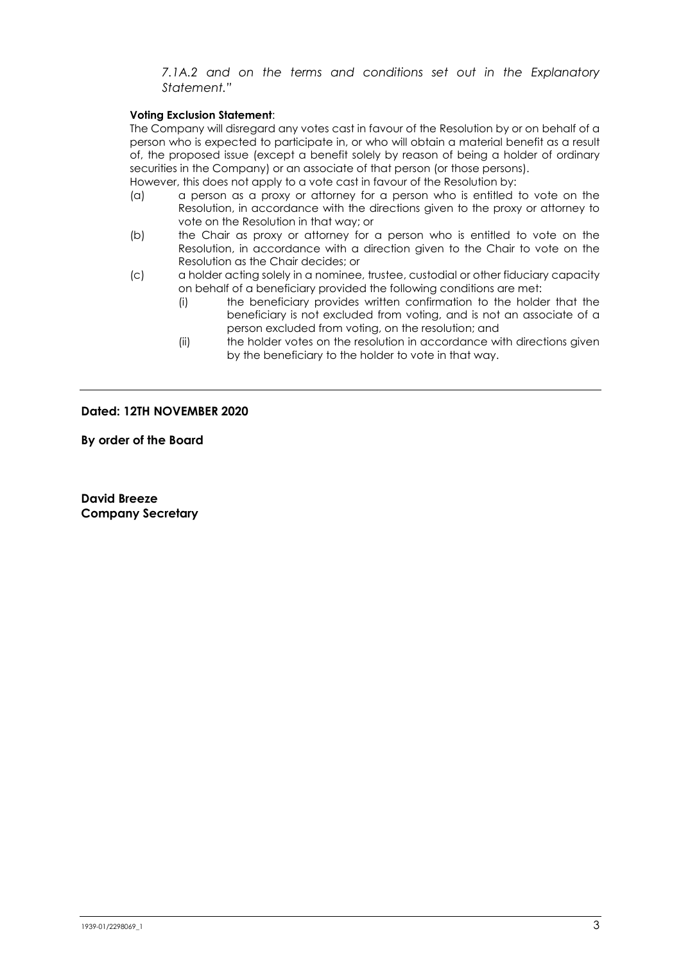*7.1A.2 and on the terms and conditions set out in the Explanatory Statement."*

#### **Voting Exclusion Statement**:

The Company will disregard any votes cast in favour of the Resolution by or on behalf of a person who is expected to participate in, or who will obtain a material benefit as a result of, the proposed issue (except a benefit solely by reason of being a holder of ordinary securities in the Company) or an associate of that person (or those persons).

However, this does not apply to a vote cast in favour of the Resolution by:

- (a) a person as a proxy or attorney for a person who is entitled to vote on the Resolution, in accordance with the directions given to the proxy or attorney to vote on the Resolution in that way; or
- (b) the Chair as proxy or attorney for a person who is entitled to vote on the Resolution, in accordance with a direction given to the Chair to vote on the Resolution as the Chair decides; or
- (c) a holder acting solely in a nominee, trustee, custodial or other fiduciary capacity on behalf of a beneficiary provided the following conditions are met:
	- (i) the beneficiary provides written confirmation to the holder that the beneficiary is not excluded from voting, and is not an associate of a person excluded from voting, on the resolution; and
	- (ii) the holder votes on the resolution in accordance with directions given by the beneficiary to the holder to vote in that way.

#### **Dated: 12TH NOVEMBER 2020**

**By order of the Board**

**David Breeze Company Secretary**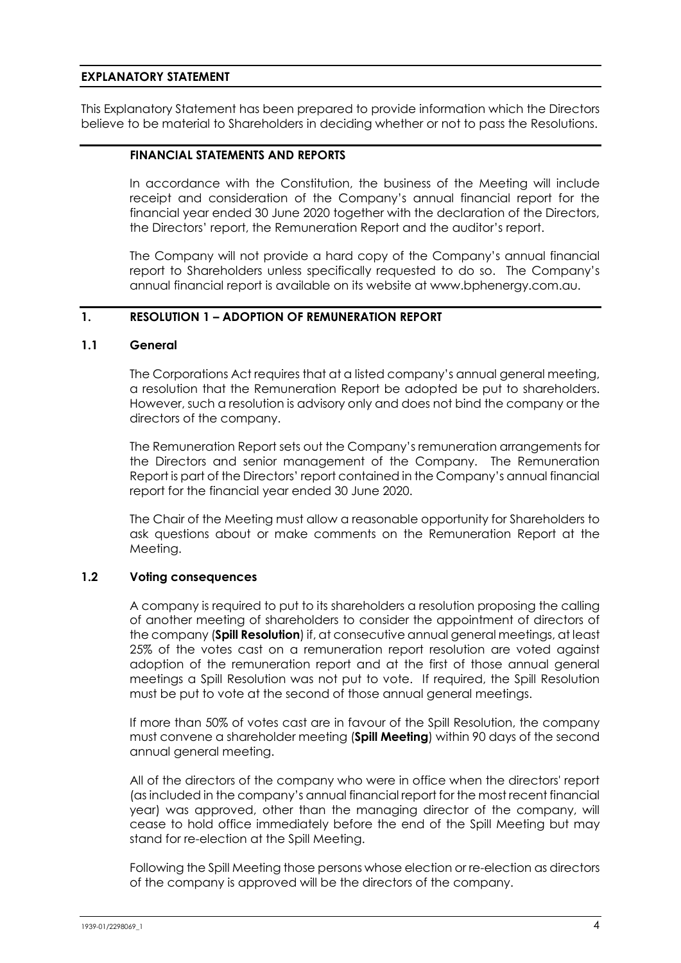## **EXPLANATORY STATEMENT**

This Explanatory Statement has been prepared to provide information which the Directors believe to be material to Shareholders in deciding whether or not to pass the Resolutions.

#### **FINANCIAL STATEMENTS AND REPORTS**

In accordance with the Constitution, the business of the Meeting will include receipt and consideration of the Company's annual financial report for the financial year ended 30 June 2020 together with the declaration of the Directors, the Directors' report, the Remuneration Report and the auditor's report.

The Company will not provide a hard copy of the Company's annual financial report to Shareholders unless specifically requested to do so. The Company's annual financial report is available on its website at www.bphenergy.com.au.

## **1. RESOLUTION 1 – ADOPTION OF REMUNERATION REPORT**

## **1.1 General**

The Corporations Act requires that at a listed company's annual general meeting, a resolution that the Remuneration Report be adopted be put to shareholders. However, such a resolution is advisory only and does not bind the company or the directors of the company.

The Remuneration Report sets out the Company's remuneration arrangements for the Directors and senior management of the Company. The Remuneration Report is part of the Directors' report contained in the Company's annual financial report for the financial year ended 30 June 2020.

The Chair of the Meeting must allow a reasonable opportunity for Shareholders to ask questions about or make comments on the Remuneration Report at the Meeting.

## **1.2 Voting consequences**

A company is required to put to its shareholders a resolution proposing the calling of another meeting of shareholders to consider the appointment of directors of the company (**Spill Resolution**) if, at consecutive annual general meetings, at least 25% of the votes cast on a remuneration report resolution are voted against adoption of the remuneration report and at the first of those annual general meetings a Spill Resolution was not put to vote. If required, the Spill Resolution must be put to vote at the second of those annual general meetings.

If more than 50% of votes cast are in favour of the Spill Resolution, the company must convene a shareholder meeting (**Spill Meeting**) within 90 days of the second annual general meeting.

All of the directors of the company who were in office when the directors' report (as included in the company's annual financial report for the most recent financial year) was approved, other than the managing director of the company, will cease to hold office immediately before the end of the Spill Meeting but may stand for re-election at the Spill Meeting.

Following the Spill Meeting those persons whose election or re-election as directors of the company is approved will be the directors of the company.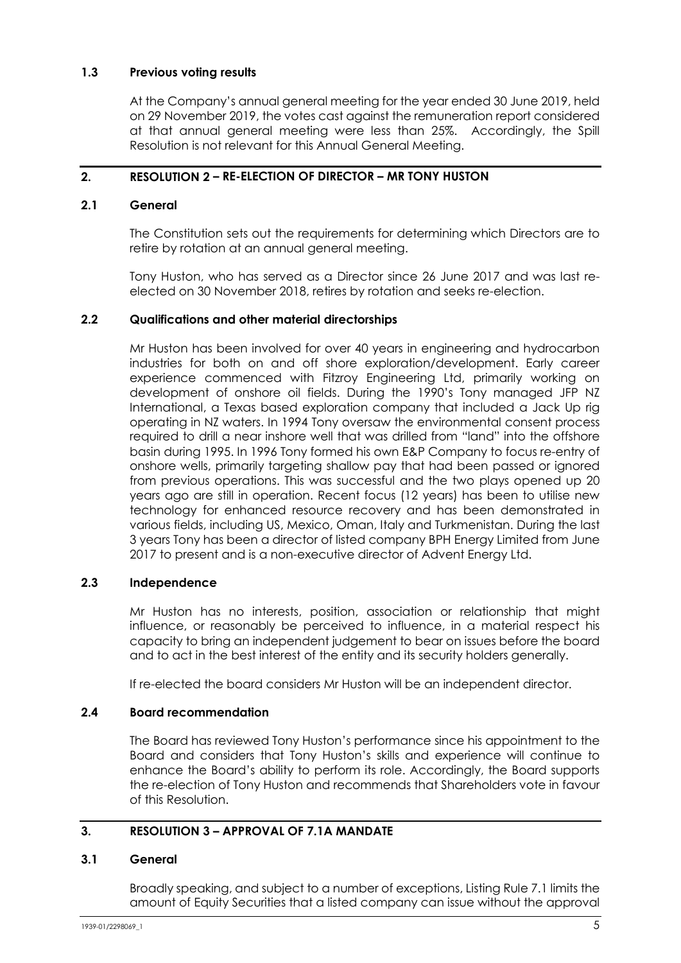## **1.3 Previous voting results**

At the Company's annual general meeting for the year ended 30 June 2019, held on 29 November 2019, the votes cast against the remuneration report considered at that annual general meeting were less than 25%. Accordingly, the Spill Resolution is not relevant for this Annual General Meeting.

## **2. RESOLUTION [2](#page-2-0) – RE-ELECTION OF DIRECTOR – MR TONY HUSTON**

## **2.1 General**

The Constitution sets out the requirements for determining which Directors are to retire by rotation at an annual general meeting.

Tony Huston, who has served as a Director since 26 June 2017 and was last reelected on 30 November 2018, retires by rotation and seeks re-election.

## **2.2 Qualifications and other material directorships**

Mr Huston has been involved for over 40 years in engineering and hydrocarbon industries for both on and off shore exploration/development. Early career experience commenced with Fitzroy Engineering Ltd, primarily working on development of onshore oil fields. During the 1990's Tony managed JFP NZ International, a Texas based exploration company that included a Jack Up rig operating in NZ waters. In 1994 Tony oversaw the environmental consent process required to drill a near inshore well that was drilled from "land" into the offshore basin during 1995. In 1996 Tony formed his own E&P Company to focus re-entry of onshore wells, primarily targeting shallow pay that had been passed or ignored from previous operations. This was successful and the two plays opened up 20 years ago are still in operation. Recent focus (12 years) has been to utilise new technology for enhanced resource recovery and has been demonstrated in various fields, including US, Mexico, Oman, Italy and Turkmenistan. During the last 3 years Tony has been a director of listed company BPH Energy Limited from June 2017 to present and is a non-executive director of Advent Energy Ltd.

## **2.3 Independence**

Mr Huston has no interests, position, association or relationship that might influence, or reasonably be perceived to influence, in a material respect his capacity to bring an independent judgement to bear on issues before the board and to act in the best interest of the entity and its security holders generally.

If re-elected the board considers Mr Huston will be an independent director.

## **2.4 Board recommendation**

The Board has reviewed Tony Huston's performance since his appointment to the Board and considers that Tony Huston's skills and experience will continue to enhance the Board's ability to perform its role. Accordingly, the Board supports the re-election of Tony Huston and recommends that Shareholders vote in favour of this Resolution.

## **3. RESOLUTION 3 – APPROVAL OF 7.1A MANDATE**

## **3.1 General**

Broadly speaking, and subject to a number of exceptions, Listing Rule 7.1 limits the amount of Equity Securities that a listed company can issue without the approval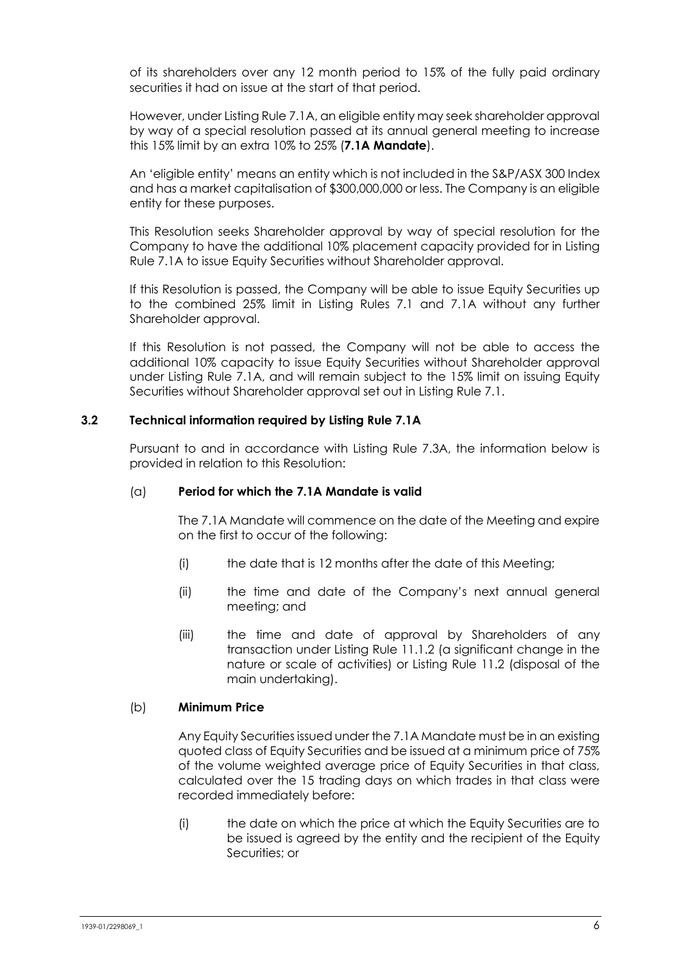of its shareholders over any 12 month period to 15% of the fully paid ordinary securities it had on issue at the start of that period.

However, under Listing Rule 7.1A, an eligible entity may seek shareholder approval by way of a special resolution passed at its annual general meeting to increase this 15% limit by an extra 10% to 25% (**7.1A Mandate**).

An 'eligible entity' means an entity which is not included in the S&P/ASX 300 Index and has a market capitalisation of \$300,000,000 or less. The Company is an eligible entity for these purposes.

This Resolution seeks Shareholder approval by way of special resolution for the Company to have the additional 10% placement capacity provided for in Listing Rule 7.1A to issue Equity Securities without Shareholder approval.

If this Resolution is passed, the Company will be able to issue Equity Securities up to the combined 25% limit in Listing Rules 7.1 and 7.1A without any further Shareholder approval.

If this Resolution is not passed, the Company will not be able to access the additional 10% capacity to issue Equity Securities without Shareholder approval under Listing Rule 7.1A, and will remain subject to the 15% limit on issuing Equity Securities without Shareholder approval set out in Listing Rule 7.1.

## **3.2 Technical information required by Listing Rule 7.1A**

Pursuant to and in accordance with Listing Rule 7.3A, the information below is provided in relation to this Resolution:

## (a) **Period for which the 7.1A Mandate is valid**

The 7.1A Mandate will commence on the date of the Meeting and expire on the first to occur of the following:

- (i) the date that is 12 months after the date of this Meeting;
- (ii) the time and date of the Company's next annual general meeting; and
- (iii) the time and date of approval by Shareholders of any transaction under Listing Rule 11.1.2 (a significant change in the nature or scale of activities) or Listing Rule 11.2 (disposal of the main undertaking).

## (b) **Minimum Price**

Any Equity Securities issued under the 7.1A Mandate must be in an existing quoted class of Equity Securities and be issued at a minimum price of 75% of the volume weighted average price of Equity Securities in that class, calculated over the 15 trading days on which trades in that class were recorded immediately before:

<span id="page-6-0"></span>(i) the date on which the price at which the Equity Securities are to be issued is agreed by the entity and the recipient of the Equity Securities; or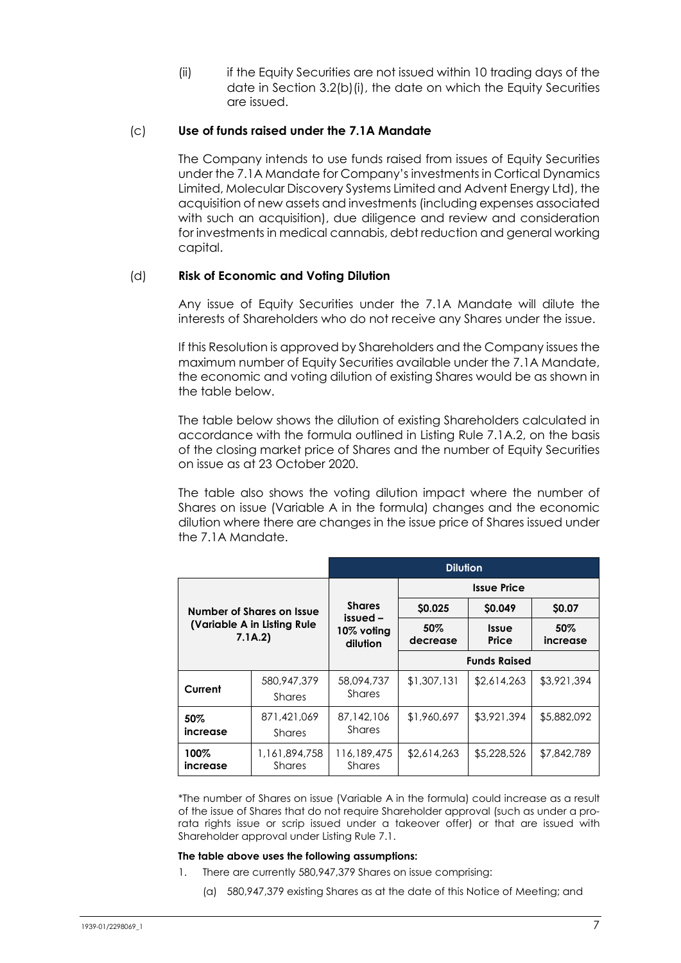(ii) if the Equity Securities are not issued within 10 trading days of the date in Section [3.2\(b\)\(i\),](#page-6-0) the date on which the Equity Securities are issued.

#### (c) **Use of funds raised under the 7.1A Mandate**

The Company intends to use funds raised from issues of Equity Securities under the 7.1A Mandate for Company's investments in Cortical Dynamics Limited, Molecular Discovery Systems Limited and Advent Energy Ltd), the acquisition of new assets and investments (including expenses associated with such an acquisition), due diligence and review and consideration for investments in medical cannabis, debt reduction and general working capital.

## (d) **Risk of Economic and Voting Dilution**

Any issue of Equity Securities under the 7.1A Mandate will dilute the interests of Shareholders who do not receive any Shares under the issue.

If this Resolution is approved by Shareholders and the Company issues the maximum number of Equity Securities available under the 7.1A Mandate, the economic and voting dilution of existing Shares would be as shown in the table below.

The table below shows the dilution of existing Shareholders calculated in accordance with the formula outlined in Listing Rule 7.1A.2, on the basis of the closing market price of Shares and the number of Equity Securities on issue as at 23 October 2020.

The table also shows the voting dilution impact where the number of Shares on issue (Variable A in the formula) changes and the economic dilution where there are changes in the issue price of Shares issued under the 7.1A Mandate.

|                                                                      |                                | <b>Dilution</b>                                     |                     |                       |                    |
|----------------------------------------------------------------------|--------------------------------|-----------------------------------------------------|---------------------|-----------------------|--------------------|
| Number of Shares on Issue<br>(Variable A in Listing Rule)<br>7.1A.2) |                                | <b>Shares</b><br>issued –<br>10% voting<br>dilution | <b>Issue Price</b>  |                       |                    |
|                                                                      |                                |                                                     | \$0.025             | \$0.049               | \$0.07             |
|                                                                      |                                |                                                     | $50\%$<br>decrease  | <b>Issue</b><br>Price | $50\%$<br>increase |
|                                                                      |                                |                                                     | <b>Funds Raised</b> |                       |                    |
| Current                                                              | 580,947,379<br>Shares          | 58,094,737<br>Shares                                | \$1,307,131         | \$2,614,263           | \$3,921,394        |
| 50%<br>increase                                                      | 871,421,069<br>Shares          | 87,142,106<br><b>Shares</b>                         | \$1,960,697         | \$3,921,394           | \$5,882,092        |
| 100%<br><i>increase</i>                                              | 1,161,894,758<br><b>Shares</b> | 116,189,475<br><b>Shares</b>                        | \$2,614,263         | \$5,228,526           | \$7,842,789        |

\*The number of Shares on issue (Variable A in the formula) could increase as a result of the issue of Shares that do not require Shareholder approval (such as under a prorata rights issue or scrip issued under a takeover offer) or that are issued with Shareholder approval under Listing Rule 7.1.

#### **The table above uses the following assumptions:**

- 1. There are currently 580,947,379 Shares on issue comprising:
	- (a) 580,947,379 existing Shares as at the date of this Notice of Meeting; and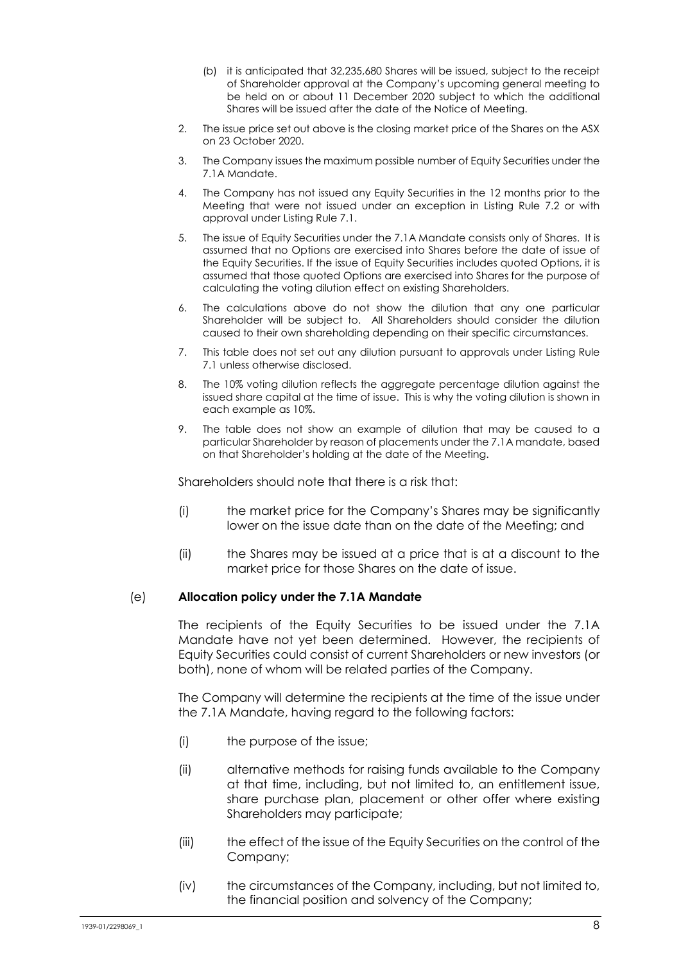- (b) it is anticipated that 32,235,680 Shares will be issued, subject to the receipt of Shareholder approval at the Company's upcoming general meeting to be held on or about 11 December 2020 subject to which the additional Shares will be issued after the date of the Notice of Meeting.
- 2. The issue price set out above is the closing market price of the Shares on the ASX on 23 October 2020.
- 3. The Company issues the maximum possible number of Equity Securities under the 7.1A Mandate.
- 4. The Company has not issued any Equity Securities in the 12 months prior to the Meeting that were not issued under an exception in Listing Rule 7.2 or with approval under Listing Rule 7.1.
- 5. The issue of Equity Securities under the 7.1A Mandate consists only of Shares. It is assumed that no Options are exercised into Shares before the date of issue of the Equity Securities. If the issue of Equity Securities includes quoted Options, it is assumed that those quoted Options are exercised into Shares for the purpose of calculating the voting dilution effect on existing Shareholders.
- 6. The calculations above do not show the dilution that any one particular Shareholder will be subject to. All Shareholders should consider the dilution caused to their own shareholding depending on their specific circumstances.
- 7. This table does not set out any dilution pursuant to approvals under Listing Rule 7.1 unless otherwise disclosed.
- 8. The 10% voting dilution reflects the aggregate percentage dilution against the issued share capital at the time of issue. This is why the voting dilution is shown in each example as 10%.
- 9. The table does not show an example of dilution that may be caused to a particular Shareholder by reason of placements under the 7.1A mandate, based on that Shareholder's holding at the date of the Meeting.

Shareholders should note that there is a risk that:

- (i) the market price for the Company's Shares may be significantly lower on the issue date than on the date of the Meeting; and
- (ii) the Shares may be issued at a price that is at a discount to the market price for those Shares on the date of issue.

## (e) **Allocation policy under the 7.1A Mandate**

The recipients of the Equity Securities to be issued under the 7.1A Mandate have not yet been determined. However, the recipients of Equity Securities could consist of current Shareholders or new investors (or both), none of whom will be related parties of the Company.

The Company will determine the recipients at the time of the issue under the 7.1A Mandate, having regard to the following factors:

- (i) the purpose of the issue;
- (ii) alternative methods for raising funds available to the Company at that time, including, but not limited to, an entitlement issue, share purchase plan, placement or other offer where existing Shareholders may participate;
- (iii) the effect of the issue of the Equity Securities on the control of the Company;
- (iv) the circumstances of the Company, including, but not limited to, the financial position and solvency of the Company;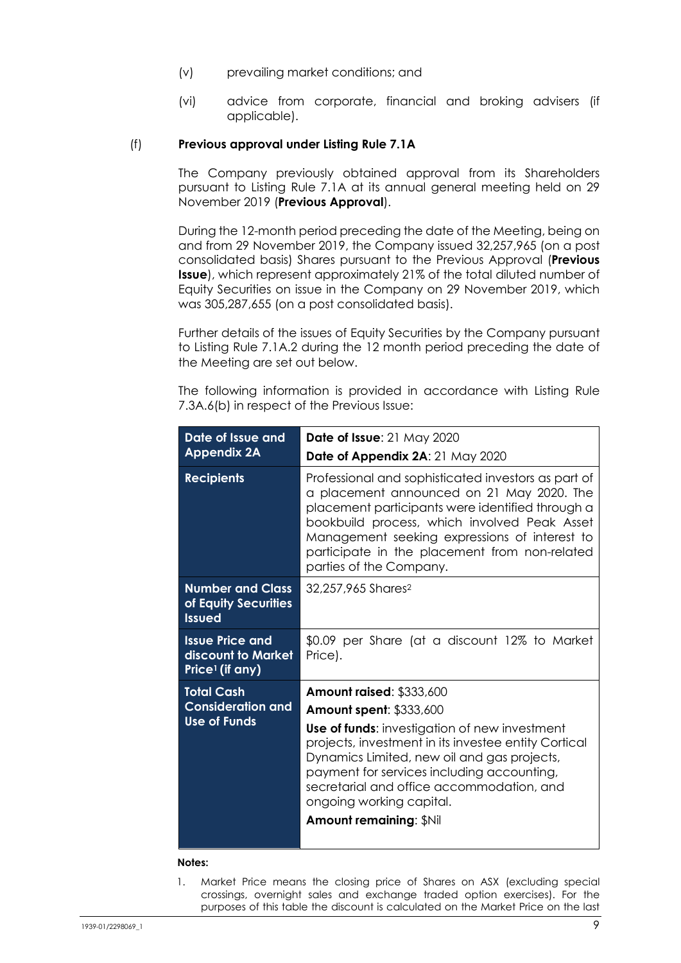- (v) prevailing market conditions; and
- (vi) advice from corporate, financial and broking advisers (if applicable).

#### (f) **Previous approval under Listing Rule 7.1A**

The Company previously obtained approval from its Shareholders pursuant to Listing Rule 7.1A at its annual general meeting held on 29 November 2019 (**Previous Approval**).

During the 12-month period preceding the date of the Meeting, being on and from 29 November 2019, the Company issued 32,257,965 (on a post consolidated basis) Shares pursuant to the Previous Approval (**Previous Issue**), which represent approximately 21% of the total diluted number of Equity Securities on issue in the Company on 29 November 2019, which was 305,287,655 (on a post consolidated basis).

Further details of the issues of Equity Securities by the Company pursuant to Listing Rule 7.1A.2 during the 12 month period preceding the date of the Meeting are set out below.

The following information is provided in accordance with Listing Rule 7.3A.6(b) in respect of the Previous Issue:

| <b>Date of Issue: 21 May 2020</b>                                                                                                                                                                                                                                                                                                 |  |  |  |
|-----------------------------------------------------------------------------------------------------------------------------------------------------------------------------------------------------------------------------------------------------------------------------------------------------------------------------------|--|--|--|
| Date of Appendix 2A: 21 May 2020                                                                                                                                                                                                                                                                                                  |  |  |  |
| Professional and sophisticated investors as part of<br>a placement announced on 21 May 2020. The<br>placement participants were identified through a<br>bookbuild process, which involved Peak Asset<br>Management seeking expressions of interest to<br>participate in the placement from non-related<br>parties of the Company. |  |  |  |
| 32,257,965 Shares <sup>2</sup>                                                                                                                                                                                                                                                                                                    |  |  |  |
| \$0.09 per Share (at a discount 12% to Market<br>Price).                                                                                                                                                                                                                                                                          |  |  |  |
| <b>Amount raised: \$333,600</b>                                                                                                                                                                                                                                                                                                   |  |  |  |
| <b>Amount spent: \$333,600</b>                                                                                                                                                                                                                                                                                                    |  |  |  |
| <b>Use of funds:</b> investigation of new investment<br>projects, investment in its investee entity Cortical<br>Dynamics Limited, new oil and gas projects,<br>payment for services including accounting,<br>secretarial and office accommodation, and<br>ongoing working capital.<br><b>Amount remaining: \$Nil</b>              |  |  |  |
|                                                                                                                                                                                                                                                                                                                                   |  |  |  |

#### **Notes:**

1. Market Price means the closing price of Shares on ASX (excluding special crossings, overnight sales and exchange traded option exercises). For the purposes of this table the discount is calculated on the Market Price on the last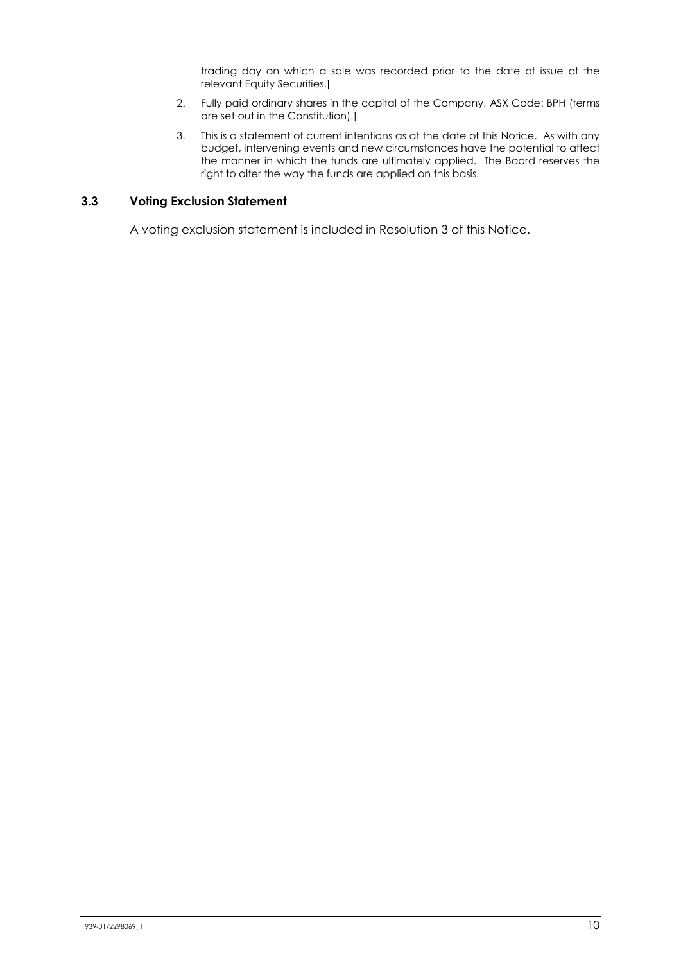trading day on which a sale was recorded prior to the date of issue of the relevant Equity Securities.]

- 2. Fully paid ordinary shares in the capital of the Company, ASX Code: BPH (terms are set out in the Constitution).]
- 3. This is a statement of current intentions as at the date of this Notice. As with any budget, intervening events and new circumstances have the potential to affect the manner in which the funds are ultimately applied. The Board reserves the right to alter the way the funds are applied on this basis.

#### **3.3 Voting Exclusion Statement**

A voting exclusion statement is included in Resolution 3 of this Notice.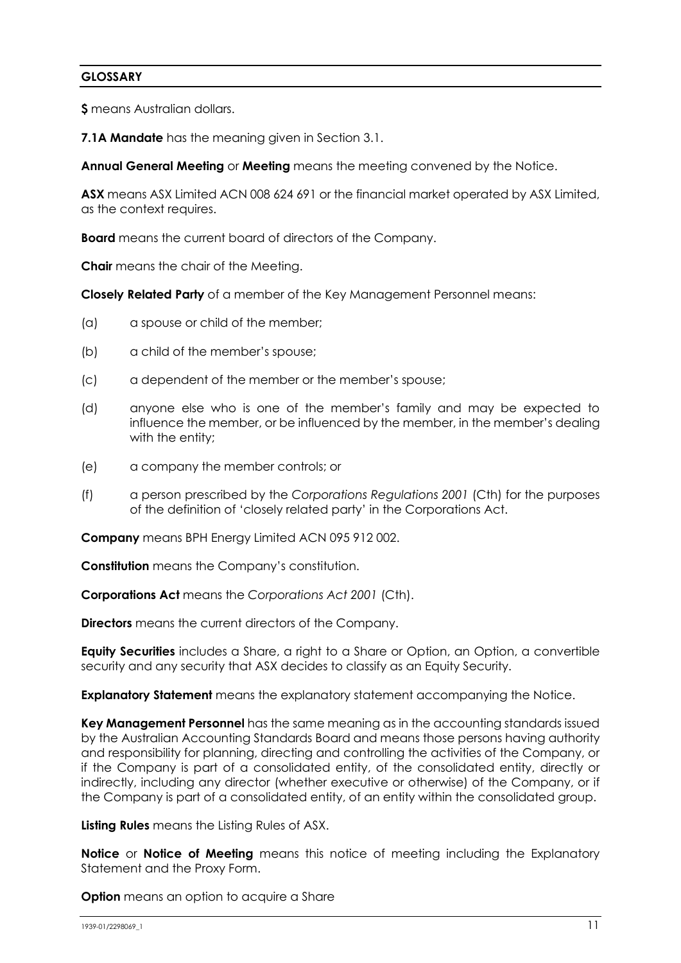## **GLOSSARY**

**\$** means Australian dollars.

**7.1A Mandate** has the meaning given in Section 3.1.

**Annual General Meeting** or **Meeting** means the meeting convened by the Notice.

**ASX** means ASX Limited ACN 008 624 691 or the financial market operated by ASX Limited, as the context requires.

**Board** means the current board of directors of the Company.

**Chair** means the chair of the Meeting.

**Closely Related Party** of a member of the Key Management Personnel means:

- (a) a spouse or child of the member;
- (b) a child of the member's spouse;
- (c) a dependent of the member or the member's spouse;
- (d) anyone else who is one of the member's family and may be expected to influence the member, or be influenced by the member, in the member's dealing with the entity;
- (e) a company the member controls; or
- (f) a person prescribed by the *Corporations Regulations 2001* (Cth) for the purposes of the definition of 'closely related party' in the Corporations Act.

**Company** means BPH Energy Limited ACN 095 912 002.

**Constitution** means the Company's constitution.

**Corporations Act** means the *Corporations Act 2001* (Cth).

**Directors** means the current directors of the Company.

**Equity Securities** includes a Share, a right to a Share or Option, an Option, a convertible security and any security that ASX decides to classify as an Equity Security.

**Explanatory Statement** means the explanatory statement accompanying the Notice.

**Key Management Personnel** has the same meaning as in the accounting standards issued by the Australian Accounting Standards Board and means those persons having authority and responsibility for planning, directing and controlling the activities of the Company, or if the Company is part of a consolidated entity, of the consolidated entity, directly or indirectly, including any director (whether executive or otherwise) of the Company, or if the Company is part of a consolidated entity, of an entity within the consolidated group.

**Listing Rules** means the Listing Rules of ASX.

**Notice** or **Notice of Meeting** means this notice of meeting including the Explanatory Statement and the Proxy Form.

**Option** means an option to acquire a Share